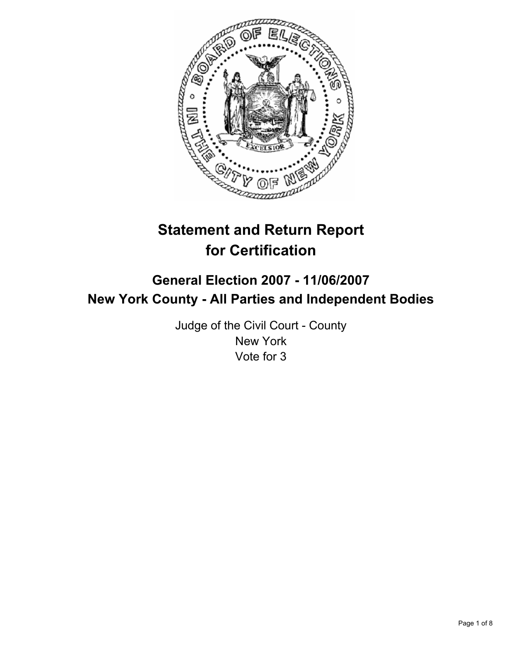

# **Statement and Return Report for Certification**

# **General Election 2007 - 11/06/2007 New York County - All Parties and Independent Bodies**

Judge of the Civil Court - County New York Vote for 3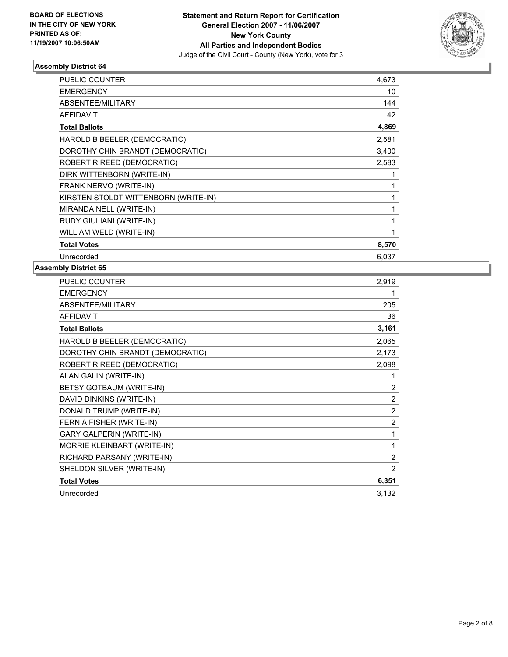

| <b>PUBLIC COUNTER</b>                | 4,673 |  |
|--------------------------------------|-------|--|
| <b>EMERGENCY</b>                     | 10    |  |
| ABSENTEE/MILITARY                    | 144   |  |
| <b>AFFIDAVIT</b>                     | 42    |  |
| <b>Total Ballots</b>                 | 4,869 |  |
| HAROLD B BEELER (DEMOCRATIC)         | 2,581 |  |
| DOROTHY CHIN BRANDT (DEMOCRATIC)     | 3,400 |  |
| ROBERT R REED (DEMOCRATIC)           | 2,583 |  |
| DIRK WITTENBORN (WRITE-IN)           |       |  |
| FRANK NERVO (WRITE-IN)               |       |  |
| KIRSTEN STOLDT WITTENBORN (WRITE-IN) |       |  |
| MIRANDA NELL (WRITE-IN)              |       |  |
| RUDY GIULIANI (WRITE-IN)             |       |  |
| WILLIAM WELD (WRITE-IN)              |       |  |
| <b>Total Votes</b>                   | 8,570 |  |
| Unrecorded                           | 6,037 |  |

| PUBLIC COUNTER                   | 2,919          |
|----------------------------------|----------------|
| <b>EMERGENCY</b>                 |                |
| ABSENTEE/MILITARY                | 205            |
| <b>AFFIDAVIT</b>                 | 36             |
| <b>Total Ballots</b>             | 3,161          |
| HAROLD B BEELER (DEMOCRATIC)     | 2,065          |
| DOROTHY CHIN BRANDT (DEMOCRATIC) | 2,173          |
| ROBERT R REED (DEMOCRATIC)       | 2,098          |
| ALAN GALIN (WRITE-IN)            |                |
| BETSY GOTBAUM (WRITE-IN)         | $\overline{2}$ |
| DAVID DINKINS (WRITE-IN)         | $\overline{2}$ |
| DONALD TRUMP (WRITE-IN)          | $\overline{2}$ |
| FERN A FISHER (WRITE-IN)         | $\overline{2}$ |
| <b>GARY GALPERIN (WRITE-IN)</b>  | 1              |
| MORRIE KLEINBART (WRITE-IN)      | 1              |
| RICHARD PARSANY (WRITE-IN)       | 2              |
| SHELDON SILVER (WRITE-IN)        | 2              |
| <b>Total Votes</b>               | 6,351          |
| Unrecorded                       | 3,132          |
|                                  |                |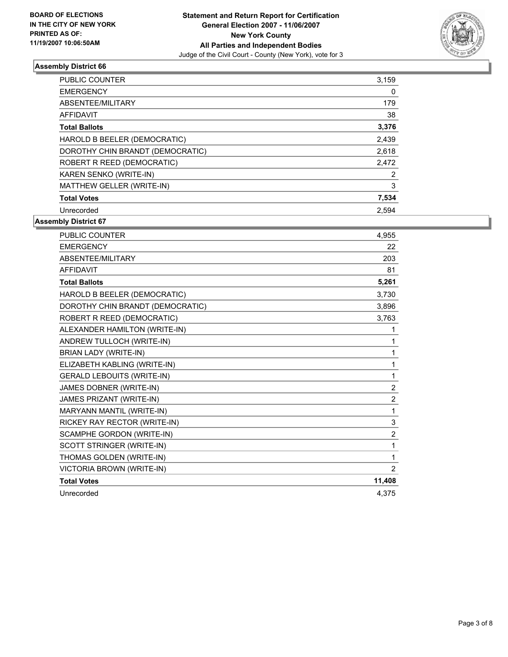

| PUBLIC COUNTER                   | 3,159 |
|----------------------------------|-------|
| <b>EMERGENCY</b>                 | 0     |
| ABSENTEE/MILITARY                | 179   |
| AFFIDAVIT                        | 38    |
| <b>Total Ballots</b>             | 3,376 |
| HAROLD B BEELER (DEMOCRATIC)     | 2,439 |
| DOROTHY CHIN BRANDT (DEMOCRATIC) | 2,618 |
| ROBERT R REED (DEMOCRATIC)       | 2,472 |
| KAREN SENKO (WRITE-IN)           | 2     |
| MATTHEW GELLER (WRITE-IN)        | 3     |
| <b>Total Votes</b>               | 7,534 |
| Unrecorded                       | 2.594 |

| PUBLIC COUNTER                    | 4,955          |
|-----------------------------------|----------------|
| <b>EMERGENCY</b>                  | 22             |
| ABSENTEE/MILITARY                 | 203            |
| <b>AFFIDAVIT</b>                  | 81             |
| <b>Total Ballots</b>              | 5,261          |
| HAROLD B BEELER (DEMOCRATIC)      | 3,730          |
| DOROTHY CHIN BRANDT (DEMOCRATIC)  | 3,896          |
| ROBERT R REED (DEMOCRATIC)        | 3,763          |
| ALEXANDER HAMILTON (WRITE-IN)     |                |
| ANDREW TULLOCH (WRITE-IN)         |                |
| <b>BRIAN LADY (WRITE-IN)</b>      | 1              |
| ELIZABETH KABLING (WRITE-IN)      | 1              |
| <b>GERALD LEBOUITS (WRITE-IN)</b> | 1              |
| JAMES DOBNER (WRITE-IN)           | $\overline{2}$ |
| JAMES PRIZANT (WRITE-IN)          | $\overline{2}$ |
| MARYANN MANTIL (WRITE-IN)         | 1              |
| RICKEY RAY RECTOR (WRITE-IN)      | 3              |
| SCAMPHE GORDON (WRITE-IN)         | $\overline{2}$ |
| SCOTT STRINGER (WRITE-IN)         | 1              |
| THOMAS GOLDEN (WRITE-IN)          | 1              |
| VICTORIA BROWN (WRITE-IN)         | 2              |
| <b>Total Votes</b>                | 11,408         |
| Unrecorded                        | 4.375          |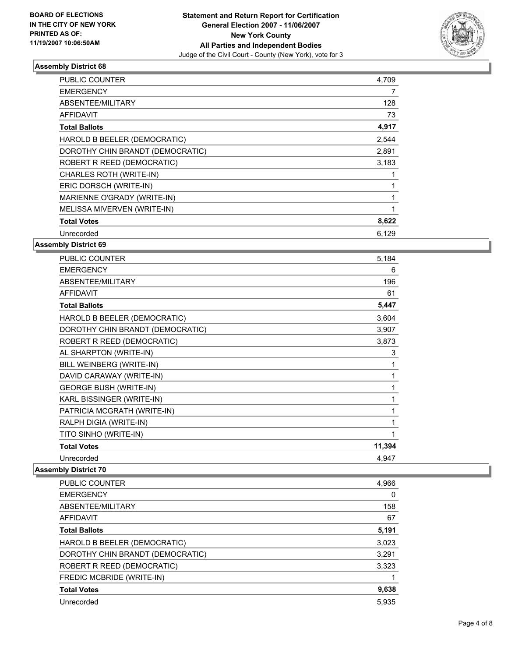

| PUBLIC COUNTER                   | 4,709 |
|----------------------------------|-------|
| <b>EMERGENCY</b>                 |       |
| ABSENTEE/MILITARY                | 128   |
| <b>AFFIDAVIT</b>                 | 73    |
| <b>Total Ballots</b>             | 4,917 |
| HAROLD B BEELER (DEMOCRATIC)     | 2,544 |
| DOROTHY CHIN BRANDT (DEMOCRATIC) | 2,891 |
| ROBERT R REED (DEMOCRATIC)       | 3,183 |
| CHARLES ROTH (WRITE-IN)          |       |
| ERIC DORSCH (WRITE-IN)           |       |
| MARIENNE O'GRADY (WRITE-IN)      |       |
| MELISSA MIVERVEN (WRITE-IN)      |       |
| <b>Total Votes</b>               | 8,622 |
| Unrecorded                       | 6.129 |

**Assembly District 69**

| <b>PUBLIC COUNTER</b>            | 5,184  |
|----------------------------------|--------|
| <b>EMERGENCY</b>                 | 6      |
| ABSENTEE/MILITARY                | 196    |
| <b>AFFIDAVIT</b>                 | 61     |
| <b>Total Ballots</b>             | 5,447  |
| HAROLD B BEELER (DEMOCRATIC)     | 3,604  |
| DOROTHY CHIN BRANDT (DEMOCRATIC) | 3,907  |
| ROBERT R REED (DEMOCRATIC)       | 3,873  |
| AL SHARPTON (WRITE-IN)           | 3      |
| BILL WEINBERG (WRITE-IN)         |        |
| DAVID CARAWAY (WRITE-IN)         |        |
| <b>GEORGE BUSH (WRITE-IN)</b>    |        |
| KARL BISSINGER (WRITE-IN)        |        |
| PATRICIA MCGRATH (WRITE-IN)      |        |
| RALPH DIGIA (WRITE-IN)           |        |
| TITO SINHO (WRITE-IN)            |        |
| <b>Total Votes</b>               | 11,394 |
| Unrecorded                       | 4,947  |

| PUBLIC COUNTER                   | 4,966 |
|----------------------------------|-------|
| <b>EMERGENCY</b>                 |       |
| ABSENTEE/MILITARY                | 158   |
| AFFIDAVIT                        | 67    |
| <b>Total Ballots</b>             | 5,191 |
| HAROLD B BEELER (DEMOCRATIC)     | 3,023 |
| DOROTHY CHIN BRANDT (DEMOCRATIC) | 3,291 |
| ROBERT R REED (DEMOCRATIC)       | 3,323 |
| FREDIC MCBRIDE (WRITE-IN)        |       |
| <b>Total Votes</b>               | 9,638 |
| Unrecorded                       | 5,935 |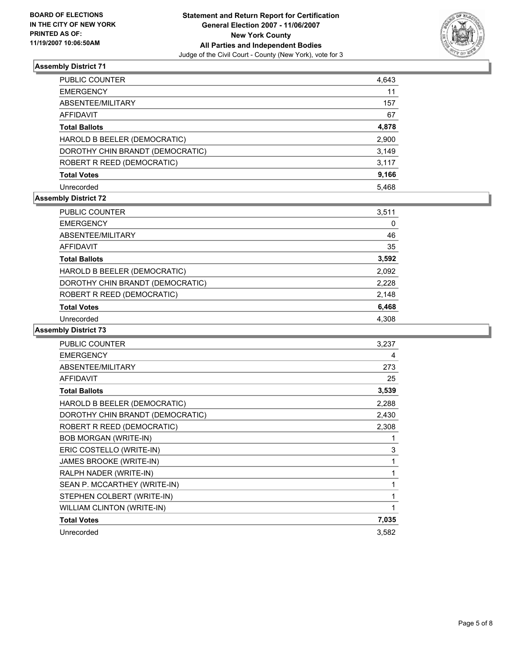

| PUBLIC COUNTER                   | 4,643 |
|----------------------------------|-------|
| <b>EMERGENCY</b>                 | 11    |
| ABSENTEE/MILITARY                | 157   |
| AFFIDAVIT                        | 67    |
| <b>Total Ballots</b>             | 4,878 |
| HAROLD B BEELER (DEMOCRATIC)     | 2,900 |
| DOROTHY CHIN BRANDT (DEMOCRATIC) | 3,149 |
| ROBERT R REED (DEMOCRATIC)       | 3,117 |
| <b>Total Votes</b>               | 9,166 |
| Unrecorded                       | 5,468 |

#### **Assembly District 72**

| <b>PUBLIC COUNTER</b>            | 3,511 |
|----------------------------------|-------|
| <b>EMERGENCY</b>                 | 0     |
| ABSENTEE/MILITARY                | 46    |
| AFFIDAVIT                        | 35    |
| <b>Total Ballots</b>             | 3,592 |
| HAROLD B BEELER (DEMOCRATIC)     | 2,092 |
| DOROTHY CHIN BRANDT (DEMOCRATIC) | 2,228 |
| ROBERT R REED (DEMOCRATIC)       | 2,148 |
| <b>Total Votes</b>               | 6,468 |
| Unrecorded                       | 4.308 |

| <b>PUBLIC COUNTER</b>            | 3,237 |
|----------------------------------|-------|
| <b>EMERGENCY</b>                 | 4     |
| ABSENTEE/MILITARY                | 273   |
| <b>AFFIDAVIT</b>                 | 25    |
| <b>Total Ballots</b>             | 3,539 |
| HAROLD B BEELER (DEMOCRATIC)     | 2,288 |
| DOROTHY CHIN BRANDT (DEMOCRATIC) | 2,430 |
| ROBERT R REED (DEMOCRATIC)       | 2,308 |
| <b>BOB MORGAN (WRITE-IN)</b>     |       |
| ERIC COSTELLO (WRITE-IN)         | 3     |
| JAMES BROOKE (WRITE-IN)          |       |
| RALPH NADER (WRITE-IN)           |       |
| SEAN P. MCCARTHEY (WRITE-IN)     |       |
| STEPHEN COLBERT (WRITE-IN)       |       |
| WILLIAM CLINTON (WRITE-IN)       |       |
| <b>Total Votes</b>               | 7,035 |
| Unrecorded                       | 3,582 |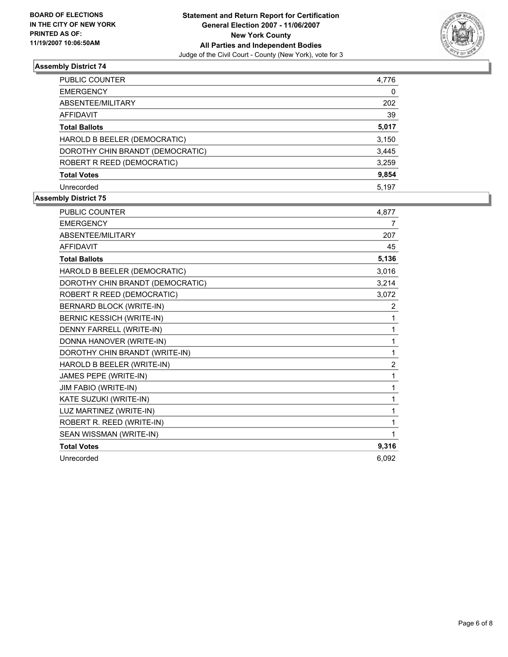

| PUBLIC COUNTER                   | 4,776 |
|----------------------------------|-------|
| <b>EMERGENCY</b>                 | 0     |
| ABSENTEE/MILITARY                | 202   |
| <b>AFFIDAVIT</b>                 | 39    |
| <b>Total Ballots</b>             | 5,017 |
| HAROLD B BEELER (DEMOCRATIC)     | 3,150 |
| DOROTHY CHIN BRANDT (DEMOCRATIC) | 3,445 |
| ROBERT R REED (DEMOCRATIC)       | 3,259 |
| <b>Total Votes</b>               | 9,854 |
| Unrecorded                       | 5.197 |

| PUBLIC COUNTER                   | 4,877          |
|----------------------------------|----------------|
| <b>EMERGENCY</b>                 | 7              |
| <b>ABSENTEE/MILITARY</b>         | 207            |
| <b>AFFIDAVIT</b>                 | 45             |
| <b>Total Ballots</b>             | 5,136          |
| HAROLD B BEELER (DEMOCRATIC)     | 3,016          |
| DOROTHY CHIN BRANDT (DEMOCRATIC) | 3,214          |
| ROBERT R REED (DEMOCRATIC)       | 3,072          |
| BERNARD BLOCK (WRITE-IN)         | $\overline{2}$ |
| <b>BERNIC KESSICH (WRITE-IN)</b> |                |
| DENNY FARRELL (WRITE-IN)         |                |
| DONNA HANOVER (WRITE-IN)         |                |
| DOROTHY CHIN BRANDT (WRITE-IN)   | 1              |
| HAROLD B BEELER (WRITE-IN)       | $\overline{2}$ |
| JAMES PEPE (WRITE-IN)            | 1              |
| JIM FABIO (WRITE-IN)             | 1              |
| KATE SUZUKI (WRITE-IN)           |                |
| LUZ MARTINEZ (WRITE-IN)          |                |
| ROBERT R. REED (WRITE-IN)        |                |
| SEAN WISSMAN (WRITE-IN)          |                |
| <b>Total Votes</b>               | 9,316          |
| Unrecorded                       | 6.092          |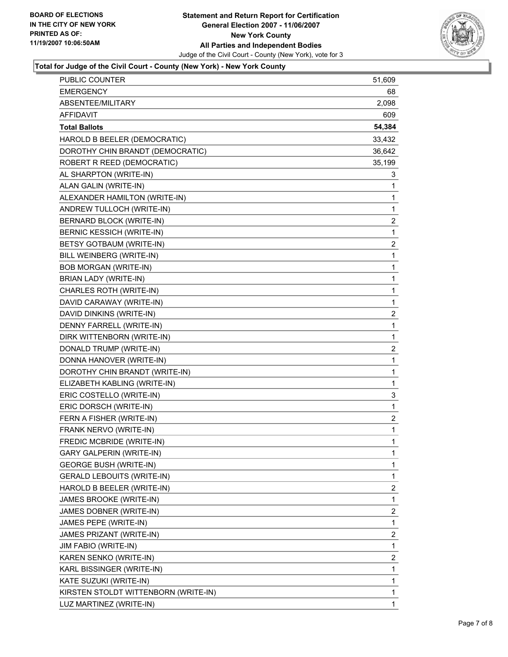

# **Total for Judge of the Civil Court - County (New York) - New York County**

| PUBLIC COUNTER                       | 51,609                  |
|--------------------------------------|-------------------------|
| <b>EMERGENCY</b>                     | 68                      |
| ABSENTEE/MILITARY                    | 2,098                   |
| <b>AFFIDAVIT</b>                     | 609                     |
| <b>Total Ballots</b>                 | 54,384                  |
| HAROLD B BEELER (DEMOCRATIC)         | 33,432                  |
| DOROTHY CHIN BRANDT (DEMOCRATIC)     | 36,642                  |
| ROBERT R REED (DEMOCRATIC)           | 35,199                  |
| AL SHARPTON (WRITE-IN)               | 3                       |
| ALAN GALIN (WRITE-IN)                | 1                       |
| ALEXANDER HAMILTON (WRITE-IN)        | $\mathbf{1}$            |
| ANDREW TULLOCH (WRITE-IN)            | 1                       |
| <b>BERNARD BLOCK (WRITE-IN)</b>      | 2                       |
| BERNIC KESSICH (WRITE-IN)            | $\mathbf{1}$            |
| BETSY GOTBAUM (WRITE-IN)             | $\overline{\mathbf{c}}$ |
| BILL WEINBERG (WRITE-IN)             | $\mathbf{1}$            |
| <b>BOB MORGAN (WRITE-IN)</b>         | $\mathbf{1}$            |
| BRIAN LADY (WRITE-IN)                | 1                       |
| CHARLES ROTH (WRITE-IN)              | 1                       |
| DAVID CARAWAY (WRITE-IN)             | 1                       |
| DAVID DINKINS (WRITE-IN)             | $\overline{\mathbf{c}}$ |
| DENNY FARRELL (WRITE-IN)             | $\mathbf{1}$            |
| DIRK WITTENBORN (WRITE-IN)           | $\mathbf{1}$            |
| DONALD TRUMP (WRITE-IN)              | $\overline{\mathbf{c}}$ |
| DONNA HANOVER (WRITE-IN)             | $\mathbf{1}$            |
| DOROTHY CHIN BRANDT (WRITE-IN)       | 1                       |
| ELIZABETH KABLING (WRITE-IN)         | 1                       |
| ERIC COSTELLO (WRITE-IN)             | 3                       |
| ERIC DORSCH (WRITE-IN)               | $\mathbf{1}$            |
| FERN A FISHER (WRITE-IN)             | $\overline{\mathbf{c}}$ |
| FRANK NERVO (WRITE-IN)               | 1                       |
| <b>FREDIC MCBRIDE (WRITE-IN)</b>     | 1                       |
| <b>GARY GALPERIN (WRITE-IN)</b>      | 1                       |
| <b>GEORGE BUSH (WRITE-IN)</b>        | 1                       |
| <b>GERALD LEBOUITS (WRITE-IN)</b>    | 1                       |
| HAROLD B BEELER (WRITE-IN)           | 2                       |
| JAMES BROOKE (WRITE-IN)              | $\mathbf{1}$            |
| JAMES DOBNER (WRITE-IN)              | $\overline{c}$          |
| JAMES PEPE (WRITE-IN)                | 1                       |
| JAMES PRIZANT (WRITE-IN)             | $\overline{\mathbf{c}}$ |
| JIM FABIO (WRITE-IN)                 | $\mathbf{1}$            |
| KAREN SENKO (WRITE-IN)               | 2                       |
| KARL BISSINGER (WRITE-IN)            | $\mathbf{1}$            |
| KATE SUZUKI (WRITE-IN)               | 1                       |
| KIRSTEN STOLDT WITTENBORN (WRITE-IN) | 1                       |
| LUZ MARTINEZ (WRITE-IN)              | 1                       |
|                                      |                         |